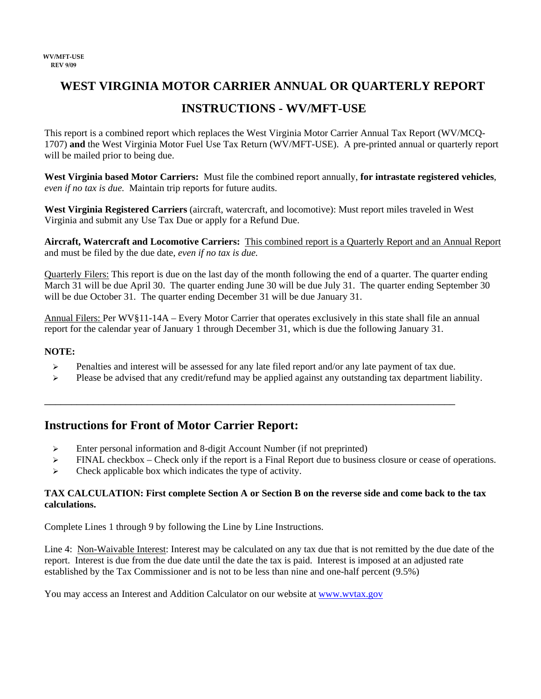## **WEST VIRGINIA MOTOR CARRIER ANNUAL OR QUARTERLY REPORT**

### **INSTRUCTIONS - WV/MFT-USE**

This report is a combined report which replaces the West Virginia Motor Carrier Annual Tax Report (WV/MCQ-1707) **and** the West Virginia Motor Fuel Use Tax Return (WV/MFT-USE). A pre-printed annual or quarterly report will be mailed prior to being due.

**West Virginia based Motor Carriers:** Must file the combined report annually, **for intrastate registered vehicles**, *even if no tax is due.* Maintain trip reports for future audits.

**West Virginia Registered Carriers** (aircraft, watercraft, and locomotive): Must report miles traveled in West Virginia and submit any Use Tax Due or apply for a Refund Due.

**Aircraft, Watercraft and Locomotive Carriers:** This combined report is a Quarterly Report and an Annual Report and must be filed by the due date, *even if no tax is due.*

Quarterly Filers: This report is due on the last day of the month following the end of a quarter. The quarter ending March 31 will be due April 30. The quarter ending June 30 will be due July 31. The quarter ending September 30 will be due October 31. The quarter ending December 31 will be due January 31.

Annual Filers: Per WV§11-14A – Every Motor Carrier that operates exclusively in this state shall file an annual report for the calendar year of January 1 through December 31, which is due the following January 31.

### **NOTE:**

 $\triangleright$  Penalties and interest will be assessed for any late filed report and/or any late payment of tax due.

\_\_\_\_\_\_\_\_\_\_\_\_\_\_\_\_\_\_\_\_\_\_\_\_\_\_\_\_\_\_\_\_\_\_\_\_\_\_\_\_\_\_\_\_\_\_\_\_\_\_\_\_\_\_\_\_\_\_\_\_\_\_\_\_\_\_\_\_\_\_\_\_\_\_\_\_

 $\triangleright$  Please be advised that any credit/refund may be applied against any outstanding tax department liability.

### **Instructions for Front of Motor Carrier Report:**

- $\triangleright$  Enter personal information and 8-digit Account Number (if not preprinted)
- $\triangleright$  FINAL checkbox Check only if the report is a Final Report due to business closure or cease of operations.
- $\triangleright$  Check applicable box which indicates the type of activity.

#### **TAX CALCULATION: First complete Section A or Section B on the reverse side and come back to the tax calculations.**

Complete Lines 1 through 9 by following the Line by Line Instructions.

Line 4: Non-Waivable Interest: Interest may be calculated on any tax due that is not remitted by the due date of the report. Interest is due from the due date until the date the tax is paid. Interest is imposed at an adjusted rate established by the Tax Commissioner and is not to be less than nine and one-half percent (9.5%)

You may access an Interest and Addition Calculator on our website at www.wvtax.gov